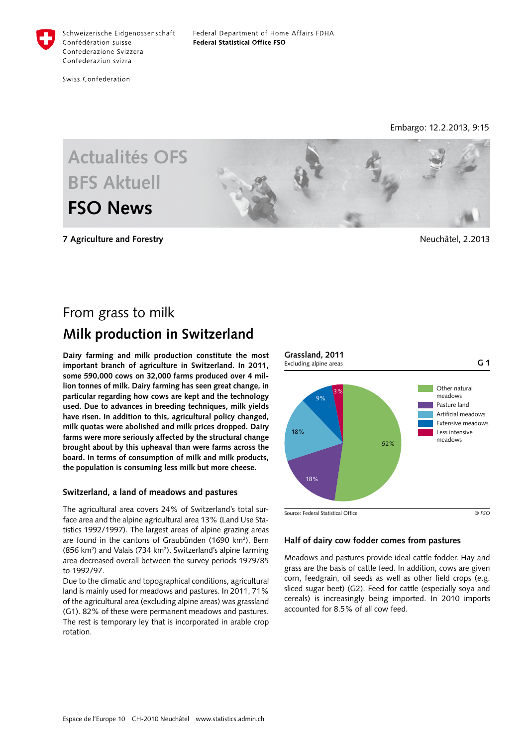

Swiss Confederation

Embargo: 12.2.2013, 9:15



**7 Agriculture and Forestry** Neuchâtel, 2.2013

# From grass to milk **Milk production in Switzerland**

**Dairy farming and milk production constitute the most important branch of agriculture in Switzerland. In 2011, some 590,000 cows on 32,000 farms produced over 4 million tonnes of milk. Dairy farming has seen great change, in particular regarding how cows are kept and the technology used. Due to advances in breeding techniques, milk yields have risen. In addition to this, agricultural policy changed, milk quotas were abolished and milk prices dropped. Dairy farms were more seriously affected by the structural change brought about by this upheaval than were farms across the board. In terms of consumption of milk and milk products, the population is consuming less milk but more cheese.**

## **Switzerland, a land of meadows and pastures**

The agricultural area covers 24% of Switzerland's total surface area and the alpine agricultural area 13% (Land Use Statistics 1992/1997). The largest areas of alpine grazing areas are found in the cantons of Graubünden (1690 km<sup>2</sup>), Bern (856 km<sup>2</sup>) and Valais (734 km<sup>2</sup>). Switzerland's alpine farming area decreased overall between the survey periods 1979/85 to 1992/97.

Due to the climatic and topographical conditions, agricultural land is mainly used for meadows and pastures. In 2011, 71% of the agricultural area (excluding alpine areas) was grassland (G1). 82% of these were permanent meadows and pastures. The rest is temporary ley that is incorporated in arable crop rotation.



## **Half of dairy cow fodder comes from pastures**

Meadows and pastures provide ideal cattle fodder. Hay and grass are the basis of cattle feed. In addition, cows are given corn, feedgrain, oil seeds as well as other field crops (e.g. sliced sugar beet) (G2). Feed for cattle (especially soya and cereals) is increasingly being imported. In 2010 imports accounted for 8.5% of all cow feed.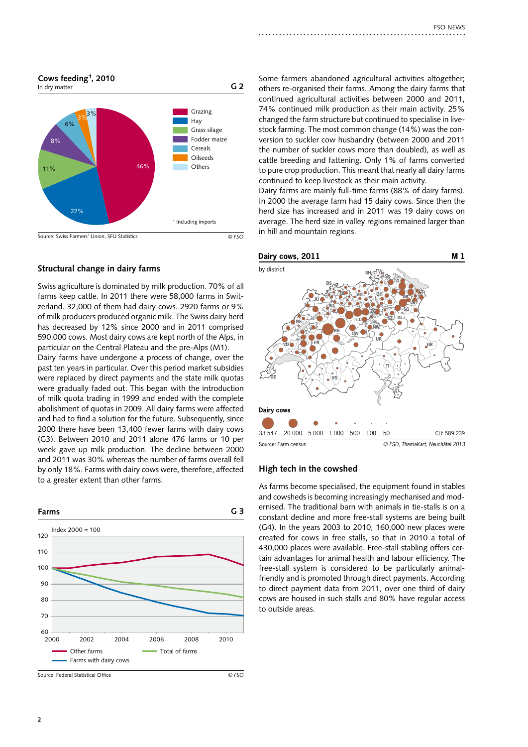

# **Structural change in dairy farms**

Swiss agriculture is dominated by milk production. 70% of all farms keep cattle. In 2011 there were 58,000 farms in Switzerland. 32,000 of them had dairy cows. 2920 farms or 9% of milk producers produced organic milk. The Swiss dairy herd has decreased by 12% since 2000 and in 2011 comprised 590,000 cows. Most dairy cows are kept north of the Alps, in particular on the Central Plateau and the pre-Alps (M1).

Dairy farms have undergone a process of change, over the past ten years in particular. Over this period market subsidies were replaced by direct payments and the state milk quotas were gradually faded out. This began with the introduction of milk quota trading in 1999 and ended with the complete abolishment of quotas in 2009. All dairy farms were affected and had to find a solution for the future. Subsequently, since 2000 there have been 13,400 fewer farms with dairy cows (G3). Between 2010 and 2011 alone 476 farms or 10 per week gave up milk production. The decline between 2000 and 2011 was 30% whereas the number of farms overall fell by only 18%. Farms with dairy cows were, therefore, affected to a greater extent than other farms.



Source: Federal Statistical Office

Some farmers abandoned agricultural activities altogether; others re-organised their farms. Among the dairy farms that continued agricultural activities between 2000 and 2011, 74% continued milk production as their main activity. 25% changed the farm structure but continued to specialise in livestock farming. The most common change (14%) was the conversion to suckler cow husbandry (between 2000 and 2011 the number of suckler cows more than doubled), as well as cattle breeding and fattening. Only 1% of farms converted to pure crop production. This meant that nearly all dairy farms continued to keep livestock as their main activity.

Dairy farms are mainly full-time farms (88% of dairy farms). In 2000 the average farm had 15 dairy cows. Since then the herd size has increased and in 2011 was 19 dairy cows on average. The herd size in valley regions remained larger than in hill and mountain regions.



#### **High tech in the cowshed**

As farms become specialised, the equipment found in stables and cowsheds is becoming increasingly mechanised and modernised. The traditional barn with animals in tie-stalls is on a constant decline and more free-stall systems are being built (G4). In the years 2003 to 2010, 160,000 new places were created for cows in free stalls, so that in 2010 a total of 430,000 places were available. Free-stall stabling offers certain advantages for animal health and labour efficiency. The free-stall system is considered to be particularly animalfriendly and is promoted through direct payments. According to direct payment data from 2011, over one third of dairy cows are housed in such stalls and 80% have regular access to outside areas.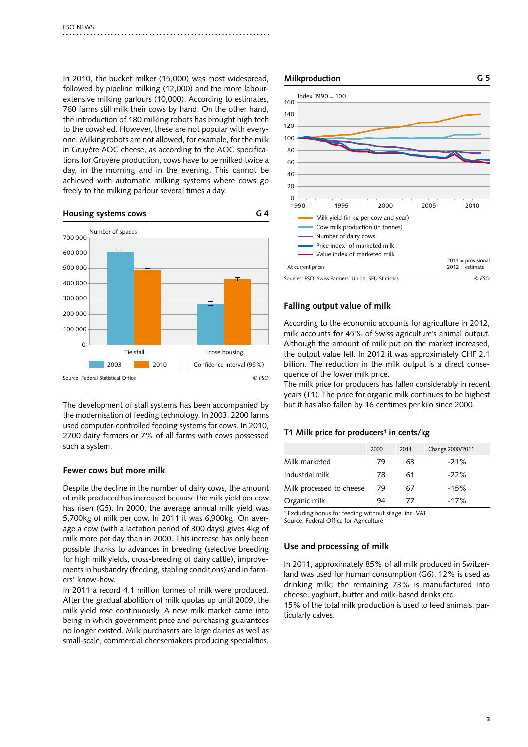In 2010, the bucket milker (15,000) was most widespread, followed by pipeline milking (12,000) and the more labourextensive milking parlours (10,000). According to estimates, 760 farms still milk their cows by hand. On the other hand, the introduction of 180 milking robots has brought high tech to the cowshed. However, these are not popular with everyone. Milking robots are not allowed, for example, for the milk in Gruyère AOC cheese, as according to the AOC specifications for Gruyère production, cows have to be milked twice a day, in the morning and in the evening. This cannot be achieved with automatic milking systems where cows go freely to the milking parlour several times a day.

#### **Housing systems cows G 4**



The development of stall systems has been accompanied by the modernisation of feeding technology. In 2003, 2200 farms used computer-controlled feeding systems for cows. In 2010, 2700 dairy farmers or 7% of all farms with cows possessed such a system.

### **Fewer cows but more milk**

Despite the decline in the number of dairy cows, the amount of milk produced has increased because the milk yield per cow has risen (G5). In 2000, the average annual milk yield was 5,700kg of milk per cow. In 2011 it was 6,900kg. On average a cow (with a lactation period of 300 days) gives 4kg of milk more per day than in 2000. This increase has only been possible thanks to advances in breeding (selective breeding for high milk yields, cross-breeding of dairy cattle), improvements in husbandry (feeding, stabling conditions) and in farmers' know-how.

In 2011 a record 4.1 million tonnes of milk were produced. After the gradual abolition of milk quotas up until 2009, the milk yield rose continuously. A new milk market came into being in which government price and purchasing guarantees no longer existed. Milk purchasers are large dairies as well as small-scale, commercial cheesemakers producing specialities.



# **Falling output value of milk**

According to the economic accounts for agriculture in 2012, milk accounts for 45% of Swiss agriculture's animal output. Although the amount of milk put on the market increased, the output value fell. In 2012 it was approximately CHF 2.1 billion. The reduction in the milk output is a direct consequence of the lower milk price.

The milk price for producers has fallen considerably in recent years (T1). The price for organic milk continues to be highest but it has also fallen by 16 centimes per kilo since 2000.

#### **T1 Milk price for producers1 in cents/kg**

|                          | 2000 | 2011 | Change 2000/2011 |
|--------------------------|------|------|------------------|
| Milk marketed            | 79   | 63   | $-21%$           |
| Industrial milk          | 78   | 61   | $-22%$           |
| Milk processed to cheese | 79   | 67   | $-15%$           |
| Organic milk             | 94   | 77   | $-17%$           |
|                          |      |      |                  |

1 Excluding bonus for feeding without silage, inc. VAT Source: Federal Office for Agriculture

# **Use and processing of milk**

In 2011, approximately 85% of all milk produced in Switzerland was used for human consumption (G6). 12% is used as drinking milk; the remaining 73% is manufactured into cheese, yoghurt, butter and milk-based drinks etc.

15% of the total milk production is used to feed animals, particularly calves.